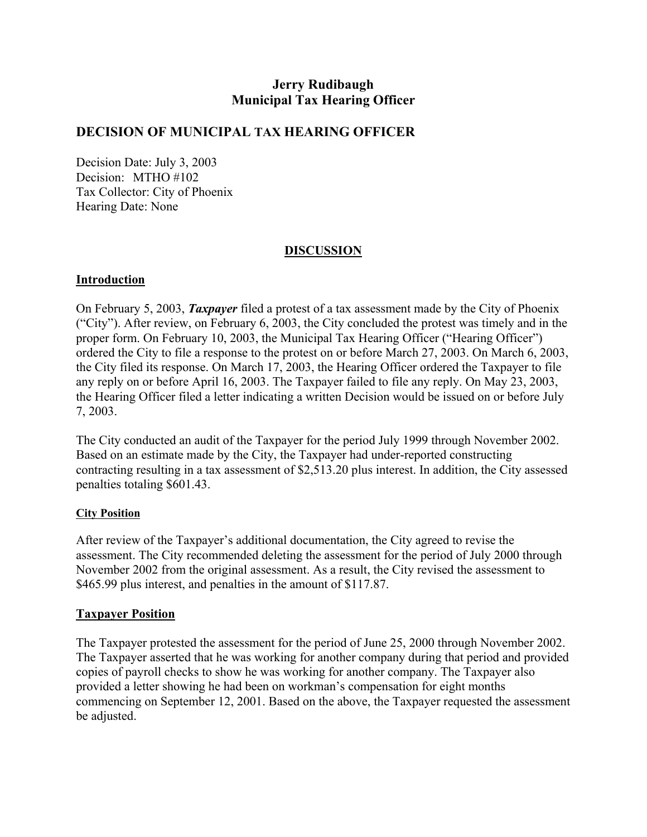## **Jerry Rudibaugh Municipal Tax Hearing Officer**

### **DECISION OF MUNICIPAL TAX HEARING OFFICER**

Decision Date: July 3, 2003 Decision: MTHO #102 Tax Collector: City of Phoenix Hearing Date: None

### **DISCUSSION**

#### **Introduction**

On February 5, 2003, *Taxpayer* filed a protest of a tax assessment made by the City of Phoenix ("City"). After review, on February 6, 2003, the City concluded the protest was timely and in the proper form. On February 10, 2003, the Municipal Tax Hearing Officer ("Hearing Officer") ordered the City to file a response to the protest on or before March 27, 2003. On March 6, 2003, the City filed its response. On March 17, 2003, the Hearing Officer ordered the Taxpayer to file any reply on or before April 16, 2003. The Taxpayer failed to file any reply. On May 23, 2003, the Hearing Officer filed a letter indicating a written Decision would be issued on or before July 7, 2003.

The City conducted an audit of the Taxpayer for the period July 1999 through November 2002. Based on an estimate made by the City, the Taxpayer had under-reported constructing contracting resulting in a tax assessment of \$2,513.20 plus interest. In addition, the City assessed penalties totaling \$601.43.

#### **City Position**

After review of the Taxpayer's additional documentation, the City agreed to revise the assessment. The City recommended deleting the assessment for the period of July 2000 through November 2002 from the original assessment. As a result, the City revised the assessment to \$465.99 plus interest, and penalties in the amount of \$117.87.

#### **Taxpayer Position**

The Taxpayer protested the assessment for the period of June 25, 2000 through November 2002. The Taxpayer asserted that he was working for another company during that period and provided copies of payroll checks to show he was working for another company. The Taxpayer also provided a letter showing he had been on workman's compensation for eight months commencing on September 12, 2001. Based on the above, the Taxpayer requested the assessment be adjusted.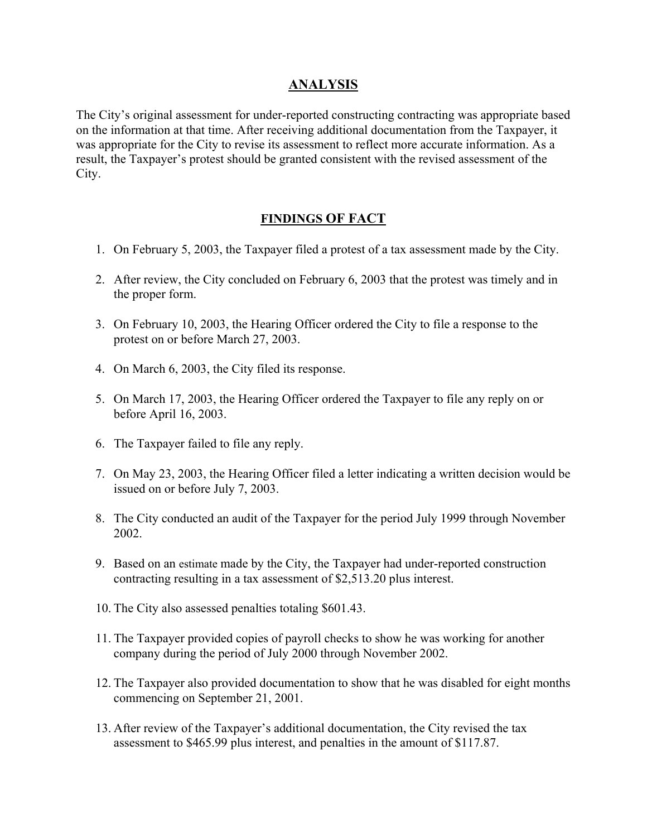## **ANALYSIS**

The City's original assessment for under-reported constructing contracting was appropriate based on the information at that time. After receiving additional documentation from the Taxpayer, it was appropriate for the City to revise its assessment to reflect more accurate information. As a result, the Taxpayer's protest should be granted consistent with the revised assessment of the City.

## **FINDINGS OF FACT**

- 1. On February 5, 2003, the Taxpayer filed a protest of a tax assessment made by the City.
- 2. After review, the City concluded on February 6, 2003 that the protest was timely and in the proper form.
- 3. On February 10, 2003, the Hearing Officer ordered the City to file a response to the protest on or before March 27, 2003.
- 4. On March 6, 2003, the City filed its response.
- 5. On March 17, 2003, the Hearing Officer ordered the Taxpayer to file any reply on or before April 16, 2003.
- 6. The Taxpayer failed to file any reply.
- 7. On May 23, 2003, the Hearing Officer filed a letter indicating a written decision would be issued on or before July 7, 2003.
- 8. The City conducted an audit of the Taxpayer for the period July 1999 through November 2002.
- 9. Based on an estimate made by the City, the Taxpayer had under-reported construction contracting resulting in a tax assessment of \$2,513.20 plus interest.
- 10. The City also assessed penalties totaling \$601.43.
- 11. The Taxpayer provided copies of payroll checks to show he was working for another company during the period of July 2000 through November 2002.
- 12. The Taxpayer also provided documentation to show that he was disabled for eight months commencing on September 21, 2001.
- 13. After review of the Taxpayer's additional documentation, the City revised the tax assessment to \$465.99 plus interest, and penalties in the amount of \$117.87.